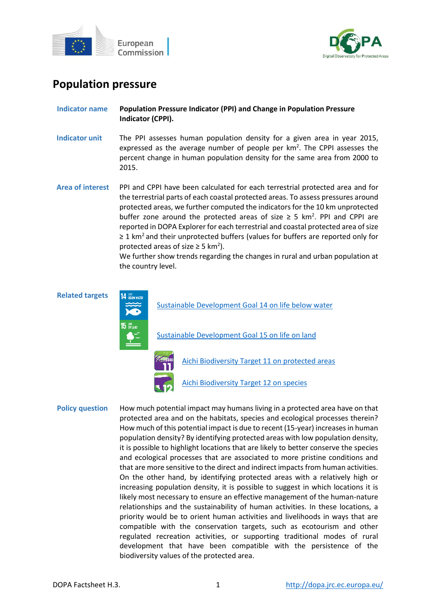



# **Population pressure**

**Indicator name Population Pressure Indicator (PPI) and Change in Population Pressure Indicator (CPPI).**

- **Indicator unit** The PPI assesses human population density for a given area in year 2015, expressed as the average number of people per km<sup>2</sup>. The CPPI assesses the percent change in human population density for the same area from 2000 to 2015.
- **Area of interest** PPI and CPPI have been calculated for each terrestrial protected area and for the terrestrial parts of each coastal protected areas. To assess pressures around protected areas, we further computed the indicators for the 10 km unprotected buffer zone around the protected areas of size  $\geq$  5 km<sup>2</sup>. PPI and CPPI are reported in DOPA Explorer for each terrestrial and coastal protected area of size  $\geq$  1 km<sup>2</sup> and their unprotected buffers (values for buffers are reported only for protected areas of size  $\geq$  5 km<sup>2</sup>).

We further show trends regarding the changes in rural and urban population at the country level.

**Related targets**



[Sustainable Development Goal](https://sdgs.un.org/goals/goal14) 14 on life below water

[Sustainable Development Goal 15 on life on land](https://sdgs.un.org/goals/goal15)



[Aichi Biodiversity Target 11 on protected areas](http://www.cbd.int/sp/targets/rationale/target-11/)



[Aichi Biodiversity Target 12 on species](http://www.cbd.int/sp/targets/rationale/target-12/)

**Policy question** How much potential impact may humans living in a protected area have on that protected area and on the habitats, species and ecological processes therein? How much of this potential impact is due to recent (15-year) increases in human population density? By identifying protected areas with low population density, it is possible to highlight locations that are likely to better conserve the species and ecological processes that are associated to more pristine conditions and that are more sensitive to the direct and indirect impacts from human activities. On the other hand, by identifying protected areas with a relatively high or increasing population density, it is possible to suggest in which locations it is likely most necessary to ensure an effective management of the human-nature relationships and the sustainability of human activities. In these locations, a priority would be to orient human activities and livelihoods in ways that are compatible with the conservation targets, such as ecotourism and other regulated recreation activities, or supporting traditional modes of rural development that have been compatible with the persistence of the biodiversity values of the protected area.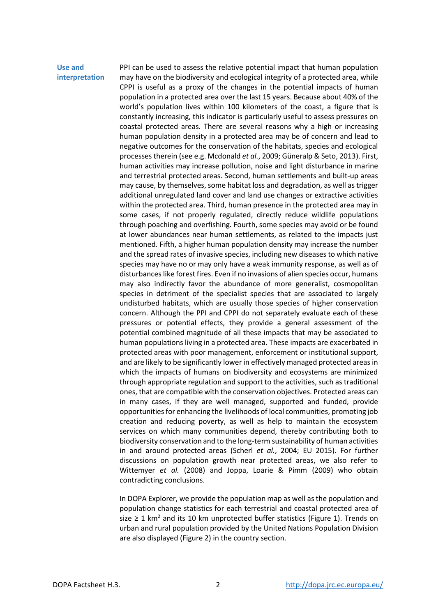### **Use and interpretation**

PPI can be used to assess the relative potential impact that human population may have on the biodiversity and ecological integrity of a protected area, while CPPI is useful as a proxy of the changes in the potential impacts of human population in a protected area over the last 15 years. Because about 40% of the world's population lives within 100 kilometers of the coast, a figure that is constantly increasing, this indicator is particularly useful to assess pressures on coastal protected areas. There are several reasons why a high or increasing human population density in a protected area may be of concern and lead to negative outcomes for the conservation of the habitats, species and ecological processes therein (see e.g. Mcdonald *et al.*, 2009; Güneralp & Seto, 2013). First, human activities may increase pollution, noise and light disturbance in marine and terrestrial protected areas. Second, human settlements and built-up areas may cause, by themselves, some habitat loss and degradation, as well as trigger additional unregulated land cover and land use changes or extractive activities within the protected area. Third, human presence in the protected area may in some cases, if not properly regulated, directly reduce wildlife populations through poaching and overfishing. Fourth, some species may avoid or be found at lower abundances near human settlements, as related to the impacts just mentioned. Fifth, a higher human population density may increase the number and the spread rates of invasive species, including new diseases to which native species may have no or may only have a weak immunity response, as well as of disturbances like forest fires. Even if no invasions of alien species occur, humans may also indirectly favor the abundance of more generalist, cosmopolitan species in detriment of the specialist species that are associated to largely undisturbed habitats, which are usually those species of higher conservation concern. Although the PPI and CPPI do not separately evaluate each of these pressures or potential effects, they provide a general assessment of the potential combined magnitude of all these impacts that may be associated to human populations living in a protected area. These impacts are exacerbated in protected areas with poor management, enforcement or institutional support, and are likely to be significantly lower in effectively managed protected areas in which the impacts of humans on biodiversity and ecosystems are minimized through appropriate regulation and support to the activities, such as traditional ones, that are compatible with the conservation objectives. Protected areas can in many cases, if they are well managed, supported and funded, provide opportunities for enhancing the livelihoods of local communities, promoting job creation and reducing poverty, as well as help to maintain the ecosystem services on which many communities depend, thereby contributing both to biodiversity conservation and to the long-term sustainability of human activities in and around protected areas (Scherl *et al.*, 2004; EU 2015). For further discussions on population growth near protected areas, we also refer to Wittemyer *et al.* (2008) and Joppa, Loarie & Pimm (2009) who obtain contradicting conclusions.

In DOPA Explorer, we provide the population map as well as the population and population change statistics for each terrestrial and coastal protected area of size  $\geq$  1 km<sup>2</sup> and its 10 km unprotected buffer statistics (Figure 1). Trends on urban and rural population provided by the United Nations Population Division are also displayed (Figure 2) in the country section.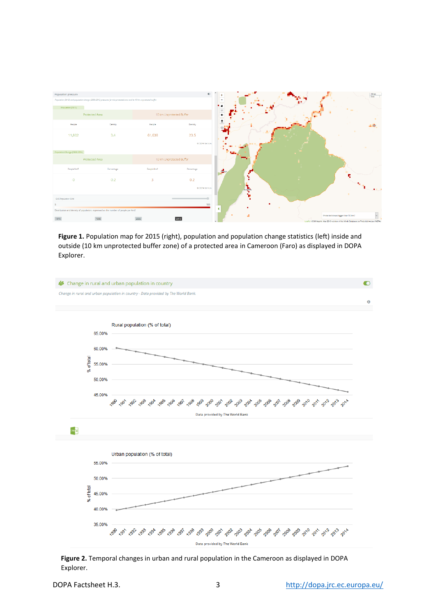

**Figure 1.** Population map for 2015 (right), population and population change statistics (left) inside and outside (10 km unprotected buffer zone) of a protected area in Cameroon (Faro) as displayed in DOPA Explorer.



**Figure 2.** Temporal changes in urban and rural population in the Cameroon as displayed in DOPA Explorer.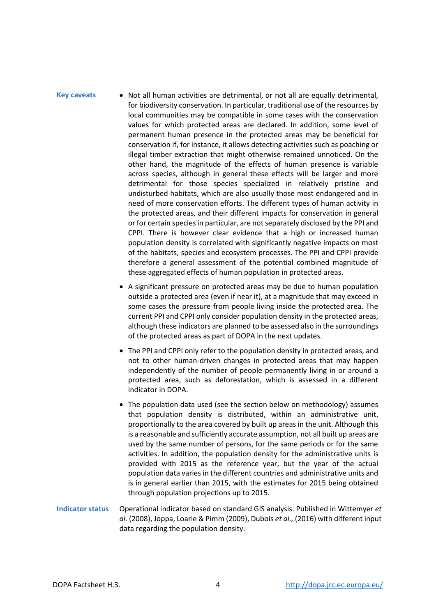## Key caveats • Not all human activities are detrimental, or not all are equally detrimental, for biodiversity conservation. In particular, traditional use of the resources by local communities may be compatible in some cases with the conservation values for which protected areas are declared. In addition, some level of permanent human presence in the protected areas may be beneficial for conservation if, for instance, it allows detecting activities such as poaching or illegal timber extraction that might otherwise remained unnoticed. On the other hand, the magnitude of the effects of human presence is variable across species, although in general these effects will be larger and more detrimental for those species specialized in relatively pristine and undisturbed habitats, which are also usually those most endangered and in need of more conservation efforts. The different types of human activity in the protected areas, and their different impacts for conservation in general or for certain species in particular, are not separately disclosed by the PPI and CPPI. There is however clear evidence that a high or increased human population density is correlated with significantly negative impacts on most of the habitats, species and ecosystem processes. The PPI and CPPI provide therefore a general assessment of the potential combined magnitude of these aggregated effects of human population in protected areas.

- A significant pressure on protected areas may be due to human population outside a protected area (even if near it), at a magnitude that may exceed in some cases the pressure from people living inside the protected area. The current PPI and CPPI only consider population density in the protected areas, although these indicators are planned to be assessed also in the surroundings of the protected areas as part of DOPA in the next updates.
- The PPI and CPPI only refer to the population density in protected areas, and not to other human-driven changes in protected areas that may happen independently of the number of people permanently living in or around a protected area, such as deforestation, which is assessed in a different indicator in DOPA.
- The population data used (see the section below on methodology) assumes that population density is distributed, within an administrative unit, proportionally to the area covered by built up areas in the unit. Although this is a reasonable and sufficiently accurate assumption, not all built up areas are used by the same number of persons, for the same periods or for the same activities. In addition, the population density for the administrative units is provided with 2015 as the reference year, but the year of the actual population data varies in the different countries and administrative units and is in general earlier than 2015, with the estimates for 2015 being obtained through population projections up to 2015.
- **Indicator status** Operational indicator based on standard GIS analysis. Published in Wittemyer *et al.* (2008), Joppa, Loarie & Pimm (2009), Dubois *et al.,* (2016) with different input data regarding the population density.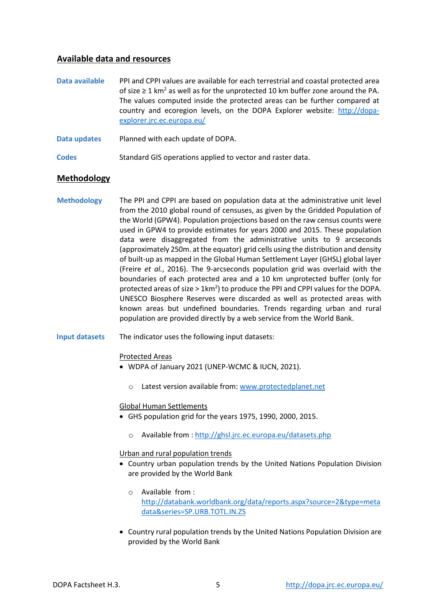## **Available data and resources**

- **Data available** PPI and CPPI values are available for each terrestrial and coastal protected area of size  $\geq 1$  km<sup>2</sup> as well as for the unprotected 10 km buffer zone around the PA. The values computed inside the protected areas can be further compared at country and ecoregion levels, on the DOPA Explorer website: [http://dopa](http://dopa-explorer.jrc.ec.europa.eu/)[explorer.jrc.ec.europa.eu/](http://dopa-explorer.jrc.ec.europa.eu/)
- **Data updates** Planned with each update of DOPA.
- **Codes** Standard GIS operations applied to vector and raster data.

## **Methodology**

- **Methodology** The PPI and CPPI are based on population data at the administrative unit level from the 2010 global round of censuses, as given by the Gridded Population of the World (GPW4). Population projections based on the raw census counts were used in GPW4 to provide estimates for years 2000 and 2015. These population data were disaggregated from the administrative units to 9 arcseconds (approximately 250m. at the equator) grid cells using the distribution and density of built-up as mapped in the Global Human Settlement Layer (GHSL) global layer (Freire *et al.*, 2016). The 9-arcseconds population grid was overlaid with the boundaries of each protected area and a 10 km unprotected buffer (only for protected areas of size  $> 1$ km<sup>2</sup>) to produce the PPI and CPPI values for the DOPA. UNESCO Biosphere Reserves were discarded as well as protected areas with known areas but undefined boundaries. Trends regarding urban and rural population are provided directly by a web service from the World Bank.
- **Input datasets** The indicator uses the following input datasets:

#### Protected Areas

- WDPA of January 2021 (UNEP-WCMC & IUCN, 2021).
	- o Latest version available from[: www.protectedplanet.net](http://www.protectedplanet.net/)

#### Global Human Settlements

- GHS population grid for the years 1975, 1990, 2000, 2015.
	- o Available from [: http://ghsl.jrc.ec.europa.eu/datasets.php](http://ghsl.jrc.ec.europa.eu/datasets.php)

#### Urban and rural population trends

- Country urban population trends by the United Nations Population Division are provided by the World Bank
	- o Available from : [http://databank.worldbank.org/data/reports.aspx?source=2&type=meta](http://databank.worldbank.org/data/reports.aspx?source=2&type=metadata&series=SP.URB.TOTL.IN.ZS) [data&series=SP.URB.TOTL.IN.ZS](http://databank.worldbank.org/data/reports.aspx?source=2&type=metadata&series=SP.URB.TOTL.IN.ZS)
- Country rural population trends by the United Nations Population Division are provided by the World Bank